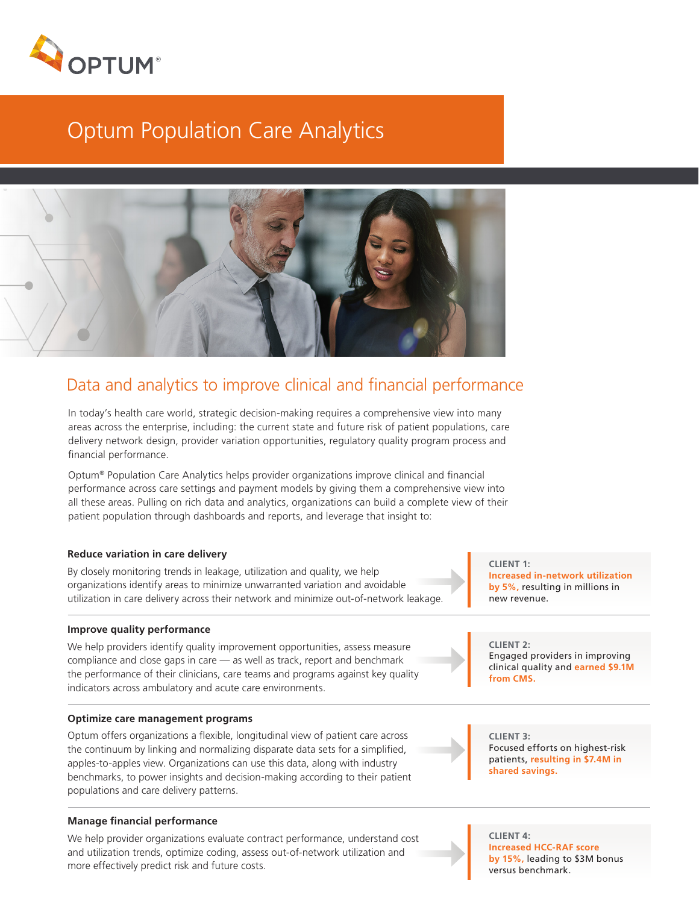

# Optum Population Care Analytics



### Data and analytics to improve clinical and financial performance

In today's health care world, strategic decision-making requires a comprehensive view into many areas across the enterprise, including: the current state and future risk of patient populations, care delivery network design, provider variation opportunities, regulatory quality program process and financial performance.

Optum® Population Care Analytics helps provider organizations improve clinical and financial performance across care settings and payment models by giving them a comprehensive view into all these areas. Pulling on rich data and analytics, organizations can build a complete view of their patient population through dashboards and reports, and leverage that insight to:

### **Reduce variation in care delivery**

By closely monitoring trends in leakage, utilization and quality, we help organizations identify areas to minimize unwarranted variation and avoidable utilization in care delivery across their network and minimize out-of-network leakage.

### **Improve quality performance**

We help providers identify quality improvement opportunities, assess measure compliance and close gaps in care — as well as track, report and benchmark the performance of their clinicians, care teams and programs against key quality indicators across ambulatory and acute care environments.

### **Optimize care management programs**

Optum offers organizations a flexible, longitudinal view of patient care across the continuum by linking and normalizing disparate data sets for a simplified, apples-to-apples view. Organizations can use this data, along with industry benchmarks, to power insights and decision-making according to their patient populations and care delivery patterns.

### **Manage financial performance**

We help provider organizations evaluate contract performance, understand cost and utilization trends, optimize coding, assess out-of-network utilization and more effectively predict risk and future costs.

**CLIENT 1: Increased in-network utilization by 5%,** resulting in millions in new revenue.

**CLIENT 2:**  Engaged providers in improving clinical quality and **earned \$9.1M from CMS.**

**CLIENT 3:**  Focused efforts on highest-risk patients, **resulting in \$7.4M in shared savings.**

**CLIENT 4: Increased HCC-RAF score by 15%,** leading to \$3M bonus versus benchmark.